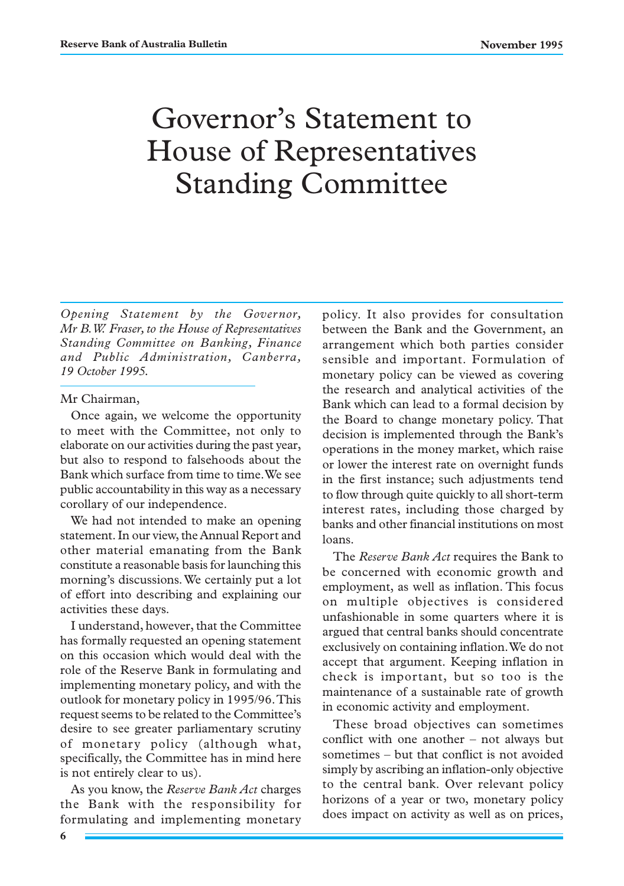## Governor's Statement to House of Representatives Standing Committee

*Opening Statement by the Governor, Mr B.W. Fraser, to the House of Representatives Standing Committee on Banking, Finance and Public Administration, Canberra, 19 October 1995.*

## Mr Chairman,

Once again, we welcome the opportunity to meet with the Committee, not only to elaborate on our activities during the past year, but also to respond to falsehoods about the Bank which surface from time to time. We see public accountability in this way as a necessary corollary of our independence.

We had not intended to make an opening statement. In our view, the Annual Report and other material emanating from the Bank constitute a reasonable basis for launching this morning's discussions. We certainly put a lot of effort into describing and explaining our activities these days.

I understand, however, that the Committee has formally requested an opening statement on this occasion which would deal with the role of the Reserve Bank in formulating and implementing monetary policy, and with the outlook for monetary policy in 1995/96. This request seems to be related to the Committee's desire to see greater parliamentary scrutiny of monetary policy (although what, specifically, the Committee has in mind here is not entirely clear to us).

As you know, the *Reserve Bank Act* charges the Bank with the responsibility for formulating and implementing monetary policy. It also provides for consultation between the Bank and the Government, an arrangement which both parties consider sensible and important. Formulation of monetary policy can be viewed as covering the research and analytical activities of the Bank which can lead to a formal decision by the Board to change monetary policy. That decision is implemented through the Bank's operations in the money market, which raise or lower the interest rate on overnight funds in the first instance; such adjustments tend to flow through quite quickly to all short-term interest rates, including those charged by banks and other financial institutions on most loans.

The *Reserve Bank Act* requires the Bank to be concerned with economic growth and employment, as well as inflation. This focus on multiple objectives is considered unfashionable in some quarters where it is argued that central banks should concentrate exclusively on containing inflation. We do not accept that argument. Keeping inflation in check is important, but so too is the maintenance of a sustainable rate of growth in economic activity and employment.

These broad objectives can sometimes conflict with one another – not always but sometimes – but that conflict is not avoided simply by ascribing an inflation-only objective to the central bank. Over relevant policy horizons of a year or two, monetary policy does impact on activity as well as on prices,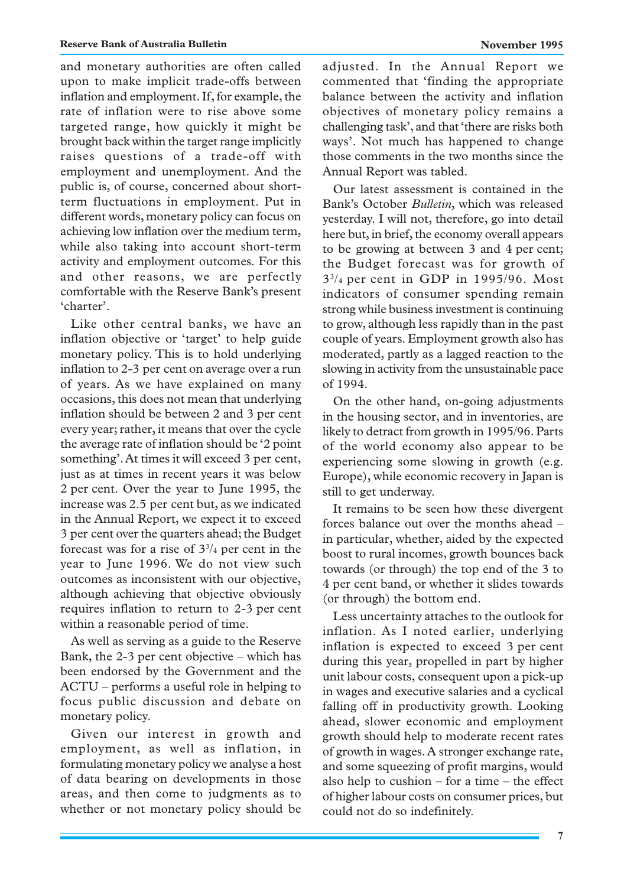and monetary authorities are often called upon to make implicit trade-offs between inflation and employment. If, for example, the rate of inflation were to rise above some targeted range, how quickly it might be brought back within the target range implicitly raises questions of a trade-off with employment and unemployment. And the public is, of course, concerned about shortterm fluctuations in employment. Put in different words, monetary policy can focus on achieving low inflation over the medium term, while also taking into account short-term activity and employment outcomes. For this and other reasons, we are perfectly comfortable with the Reserve Bank's present 'charter'.

Like other central banks, we have an inflation objective or 'target' to help guide monetary policy. This is to hold underlying inflation to 2-3 per cent on average over a run of years. As we have explained on many occasions, this does not mean that underlying inflation should be between 2 and 3 per cent every year; rather, it means that over the cycle the average rate of inflation should be '2 point something'. At times it will exceed 3 per cent, just as at times in recent years it was below 2 per cent. Over the year to June 1995, the increase was 2.5 per cent but, as we indicated in the Annual Report, we expect it to exceed 3 per cent over the quarters ahead; the Budget forecast was for a rise of  $3<sup>3</sup>/4$  per cent in the year to June 1996. We do not view such outcomes as inconsistent with our objective, although achieving that objective obviously requires inflation to return to 2-3 per cent within a reasonable period of time.

As well as serving as a guide to the Reserve Bank, the 2-3 per cent objective – which has been endorsed by the Government and the ACTU – performs a useful role in helping to focus public discussion and debate on monetary policy.

Given our interest in growth and employment, as well as inflation, in formulating monetary policy we analyse a host of data bearing on developments in those areas, and then come to judgments as to whether or not monetary policy should be

adjusted. In the Annual Report we commented that 'finding the appropriate balance between the activity and inflation objectives of monetary policy remains a challenging task', and that 'there are risks both ways'. Not much has happened to change those comments in the two months since the Annual Report was tabled.

Our latest assessment is contained in the Bank's October *Bulletin*, which was released yesterday. I will not, therefore, go into detail here but, in brief, the economy overall appears to be growing at between 3 and 4 per cent; the Budget forecast was for growth of 33/4 per cent in GDP in 1995/96. Most indicators of consumer spending remain strong while business investment is continuing to grow, although less rapidly than in the past couple of years. Employment growth also has moderated, partly as a lagged reaction to the slowing in activity from the unsustainable pace of 1994.

On the other hand, on-going adjustments in the housing sector, and in inventories, are likely to detract from growth in 1995/96. Parts of the world economy also appear to be experiencing some slowing in growth (e.g. Europe), while economic recovery in Japan is still to get underway.

It remains to be seen how these divergent forces balance out over the months ahead – in particular, whether, aided by the expected boost to rural incomes, growth bounces back towards (or through) the top end of the 3 to 4 per cent band, or whether it slides towards (or through) the bottom end.

Less uncertainty attaches to the outlook for inflation. As I noted earlier, underlying inflation is expected to exceed 3 per cent during this year, propelled in part by higher unit labour costs, consequent upon a pick-up in wages and executive salaries and a cyclical falling off in productivity growth. Looking ahead, slower economic and employment growth should help to moderate recent rates of growth in wages. A stronger exchange rate, and some squeezing of profit margins, would also help to cushion – for a time – the effect of higher labour costs on consumer prices, but could not do so indefinitely.